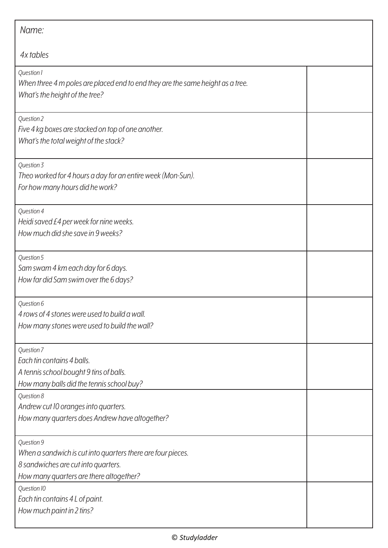| Name:                                                                                                                                                       |  |
|-------------------------------------------------------------------------------------------------------------------------------------------------------------|--|
| 4x tables                                                                                                                                                   |  |
| Question 1<br>When three 4 m poles are placed end to end they are the same height as a tree.<br>What's the height of the tree?                              |  |
| Question 2<br>Five 4 kg boxes are stacked on top of one another.<br>What's the total weight of the stack?                                                   |  |
| Question 3<br>Theo worked for 4 hours a day for an entire week (Mon-Sun).<br>For how many hours did he work?                                                |  |
| Question 4<br>Heidi saved £4 per week for nine weeks.<br>How much did she save in 9 weeks?                                                                  |  |
| Question 5<br>Sam swam 4 km each day for 6 days.<br>How far did Sam swim over the 6 days?                                                                   |  |
| Question 6<br>4 rows of 4 stones were used to build a wall.<br>How many stones were used to build the wall?                                                 |  |
| Question 7<br>Each tin contains 4 balls.<br>A tennis school bought 9 tins of balls.<br>How many balls did the tennis school buy?                            |  |
| Question 8<br>Andrew cut 10 oranges into quarters.<br>How many quarters does Andrew have altogether?                                                        |  |
| Question 9<br>When a sandwich is cut into quarters there are four pieces.<br>8 sandwiches are cut into quarters.<br>How many quarters are there altogether? |  |
| Question 10<br>Each tin contains 4 L of paint.<br>How much paint in 2 tins?                                                                                 |  |